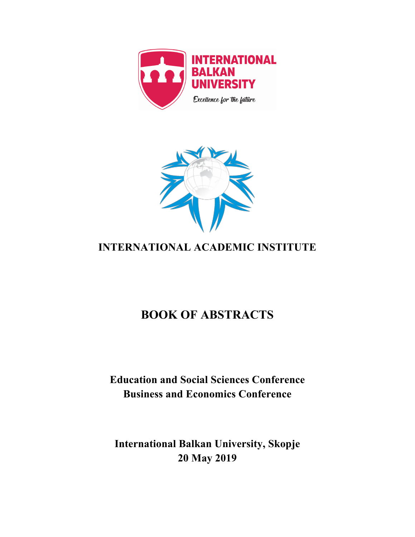



# **INTERNATIONAL ACADEMIC INSTITUTE**

# **BOOK OF ABSTRACTS**

# **Education and Social Sciences Conference Business and Economics Conference**

# **International Balkan University, Skopje 20 May 2019**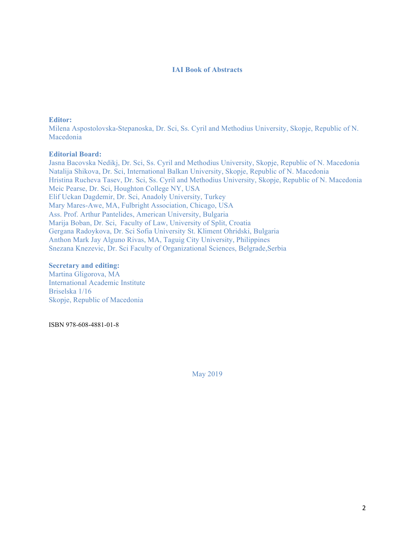#### **IAI Book of Abstracts**

#### **Editor:**

Milena Aspostolovska-Stepanoska, Dr. Sci, Ss. Cyril and Methodius University, Skopje, Republic of N. Macedonia

## **Editorial Board:**

Jasna Bacovska Nedikj, Dr. Sci, Ss. Cyril and Methodius University, Skopje, Republic of N. Macedonia Natalija Shikova, Dr. Sci, International Balkan University, Skopje, Republic of N. Macedonia Hristina Rucheva Tasev, Dr. Sci, Ss. Cyril and Methodius University, Skopje, Republic of N. Macedonia Meic Pearse, Dr. Sci, Houghton College NY, USA Elif Uckan Dagdemir, Dr. Sci, Anadoly University, Turkey Mary Mares-Awe, MA, Fulbright Association, Chicago, USA Ass. Prof. Arthur Pantelides, American University, Bulgaria Marija Boban, Dr. Sci, Faculty of Law, University of Split, Croatia Gergana Radoykova, Dr. Sci Sofia University St. Kliment Ohridski, Bulgaria Anthon Mark Jay Alguno Rivas, MA, Taguig City University, Philippines Snezana Knezevic, Dr. Sci Faculty of Organizational Sciences, Belgrade,Serbia

#### **Secretary and editing:**

Martina Gligorova, MA International Academic Institute Briselska 1/16 Skopje, Republic of Macedonia

ISBN 978-608-4881-01-8

May 2019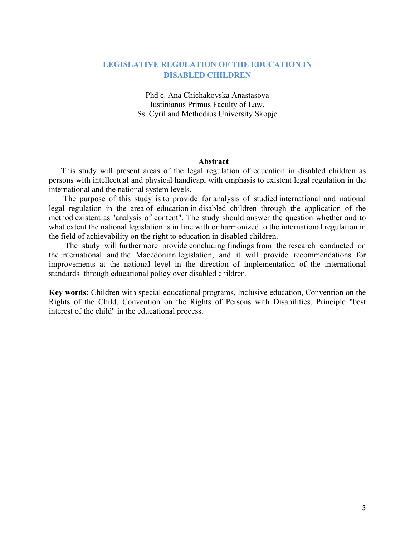# **LEGISLATIVE REGULATION OF THE EDUCATION IN DISABLED CHILDREN**

Phd c. Ana Chichakovska Anastasova Iustinianus Primus Faculty of Law, Ss. Cyril and Methodius University Skopje

**\_\_\_\_\_\_\_\_\_\_\_\_\_\_\_\_\_\_\_\_\_\_\_\_\_\_\_\_\_\_\_\_\_\_\_\_\_\_\_\_\_\_\_\_\_\_\_\_\_\_\_\_\_\_\_\_\_\_\_\_\_\_\_\_\_\_\_\_\_\_\_\_\_\_\_\_\_\_\_\_\_\_\_\_\_**

## **Abstract**

 This study will present areas of the legal regulation of education in disabled children as persons with intellectual and physical handicap, with emphasis to existent legal regulation in the international and the national system levels.

 The purpose of this study is to provide for analysis of studied international and national legal regulation in the area of education in disabled children through the application of the method existent as "analysis of content". The study should answer the question whether and to what extent the national legislation is in line with or harmonized to the international regulation in the field of achievability on the right to education in disabled children.

 The study will furthermore provide concluding findings from the research conducted on the international and the Macedonian legislation, and it will provide recommendations for improvements at the national level in the direction of implementation of the international standards through educational policy over disabled children.

**Key words:** Children with special educational programs, Inclusive education, Convention on the Rights of the Child, Convention on the Rights of Persons with Disabilities, Principle "best interest of the child" in the educational process.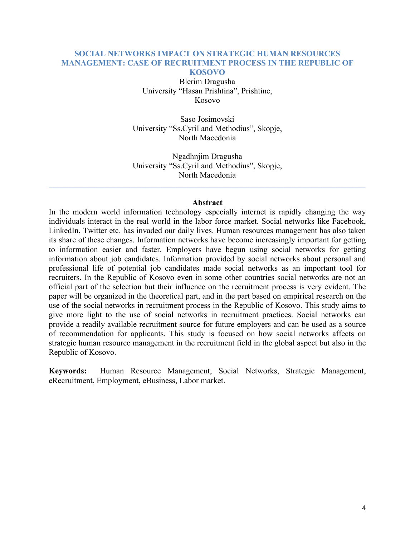## **SOCIAL NETWORKS IMPACT ON STRATEGIC HUMAN RESOURCES MANAGEMENT: CASE OF RECRUITMENT PROCESS IN THE REPUBLIC OF KOSOVO**

Blerim Dragusha University "Hasan Prishtina", Prishtine, Kosovo

Saso Josimovski University "Ss.Cyril and Methodius", Skopje, North Macedonia

Ngadhnjim Dragusha University "Ss.Cyril and Methodius", Skopje, North Macedonia

**\_\_\_\_\_\_\_\_\_\_\_\_\_\_\_\_\_\_\_\_\_\_\_\_\_\_\_\_\_\_\_\_\_\_\_\_\_\_\_\_\_\_\_\_\_\_\_\_\_\_\_\_\_\_\_\_\_\_\_\_\_\_\_\_\_\_\_\_\_\_\_\_\_\_\_\_\_\_\_\_\_\_\_\_\_**

#### **Abstract**

In the modern world information technology especially internet is rapidly changing the way individuals interact in the real world in the labor force market. Social networks like Facebook, LinkedIn, Twitter etc. has invaded our daily lives. Human resources management has also taken its share of these changes. Information networks have become increasingly important for getting to information easier and faster. Employers have begun using social networks for getting information about job candidates. Information provided by social networks about personal and professional life of potential job candidates made social networks as an important tool for recruiters. In the Republic of Kosovo even in some other countries social networks are not an official part of the selection but their influence on the recruitment process is very evident. The paper will be organized in the theoretical part, and in the part based on empirical research on the use of the social networks in recruitment process in the Republic of Kosovo. This study aims to give more light to the use of social networks in recruitment practices. Social networks can provide a readily available recruitment source for future employers and can be used as a source of recommendation for applicants. This study is focused on how social networks affects on strategic human resource management in the recruitment field in the global aspect but also in the Republic of Kosovo.

**Keywords:** Human Resource Management, Social Networks, Strategic Management, eRecruitment, Employment, eBusiness, Labor market.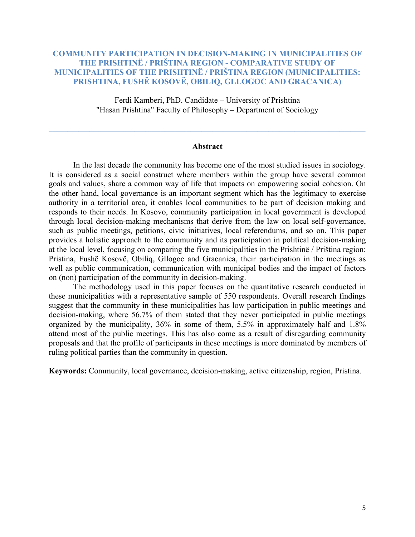# **COMMUNITY PARTICIPATION IN DECISION-MAKING IN MUNICIPALITIES OF THE PRISHTINË / PRIŠTINA REGION - COMPARATIVE STUDY OF MUNICIPALITIES OF THE PRISHTINË / PRIŠTINA REGION (MUNICIPALITIES: PRISHTINA, FUSHË KOSOVË, OBILIQ, GLLOGOC AND GRACANICA)**

Ferdi Kamberi, PhD. Candidate – University of Prishtina "Hasan Prishtina" Faculty of Philosophy – Department of Sociology

#### **Abstract**

In the last decade the community has become one of the most studied issues in sociology. It is considered as a social construct where members within the group have several common goals and values, share a common way of life that impacts on empowering social cohesion. On the other hand, local governance is an important segment which has the legitimacy to exercise authority in a territorial area, it enables local communities to be part of decision making and responds to their needs. In Kosovo, community participation in local government is developed through local decision-making mechanisms that derive from the law on local self-governance, such as public meetings, petitions, civic initiatives, local referendums, and so on. This paper provides a holistic approach to the community and its participation in political decision-making at the local level, focusing on comparing the five municipalities in the Prishtinë / Priština region: Pristina, Fushë Kosovë, Obiliq, Gllogoc and Gracanica, their participation in the meetings as well as public communication, communication with municipal bodies and the impact of factors on (non) participation of the community in decision-making.

The methodology used in this paper focuses on the quantitative research conducted in these municipalities with a representative sample of 550 respondents. Overall research findings suggest that the community in these municipalities has low participation in public meetings and decision-making, where 56.7% of them stated that they never participated in public meetings organized by the municipality, 36% in some of them, 5.5% in approximately half and 1.8% attend most of the public meetings. This has also come as a result of disregarding community proposals and that the profile of participants in these meetings is more dominated by members of ruling political parties than the community in question.

**Keywords:** Community, local governance, decision-making, active citizenship, region, Pristina.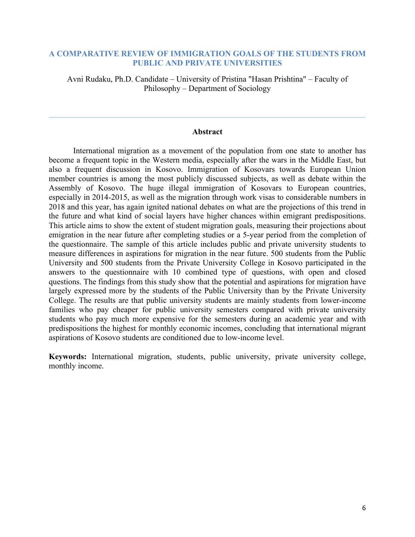# **A COMPARATIVE REVIEW OF IMMIGRATION GOALS OF THE STUDENTS FROM PUBLIC AND PRIVATE UNIVERSITIES**

Avni Rudaku, Ph.D. Candidate – University of Pristina "Hasan Prishtina" – Faculty of Philosophy – Department of Sociology

## **Abstract**

 $\mathcal{L}_\mathcal{L} = \mathcal{L}_\mathcal{L} = \mathcal{L}_\mathcal{L} = \mathcal{L}_\mathcal{L} = \mathcal{L}_\mathcal{L} = \mathcal{L}_\mathcal{L} = \mathcal{L}_\mathcal{L} = \mathcal{L}_\mathcal{L} = \mathcal{L}_\mathcal{L} = \mathcal{L}_\mathcal{L} = \mathcal{L}_\mathcal{L} = \mathcal{L}_\mathcal{L} = \mathcal{L}_\mathcal{L} = \mathcal{L}_\mathcal{L} = \mathcal{L}_\mathcal{L} = \mathcal{L}_\mathcal{L} = \mathcal{L}_\mathcal{L}$ 

International migration as a movement of the population from one state to another has become a frequent topic in the Western media, especially after the wars in the Middle East, but also a frequent discussion in Kosovo. Immigration of Kosovars towards European Union member countries is among the most publicly discussed subjects, as well as debate within the Assembly of Kosovo. The huge illegal immigration of Kosovars to European countries, especially in 2014-2015, as well as the migration through work visas to considerable numbers in 2018 and this year, has again ignited national debates on what are the projections of this trend in the future and what kind of social layers have higher chances within emigrant predispositions. This article aims to show the extent of student migration goals, measuring their projections about emigration in the near future after completing studies or a 5-year period from the completion of the questionnaire. The sample of this article includes public and private university students to measure differences in aspirations for migration in the near future. 500 students from the Public University and 500 students from the Private University College in Kosovo participated in the answers to the questionnaire with 10 combined type of questions, with open and closed questions. The findings from this study show that the potential and aspirations for migration have largely expressed more by the students of the Public University than by the Private University College. The results are that public university students are mainly students from lower-income families who pay cheaper for public university semesters compared with private university students who pay much more expensive for the semesters during an academic year and with predispositions the highest for monthly economic incomes, concluding that international migrant aspirations of Kosovo students are conditioned due to low-income level.

**Keywords:** International migration, students, public university, private university college, monthly income.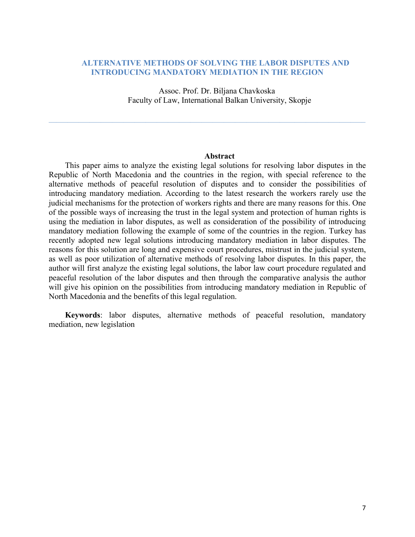## **ALTERNATIVE METHODS OF SOLVING THE LABOR DISPUTES AND INTRODUCING MANDATORY MEDIATION IN THE REGION**

Assoc. Prof. Dr. Biljana Chavkoska Faculty of Law, International Balkan University, Skopje

 $\mathcal{L}_\mathcal{L} = \{ \mathcal{L}_\mathcal{L} = \{ \mathcal{L}_\mathcal{L} = \{ \mathcal{L}_\mathcal{L} = \{ \mathcal{L}_\mathcal{L} = \{ \mathcal{L}_\mathcal{L} = \{ \mathcal{L}_\mathcal{L} = \{ \mathcal{L}_\mathcal{L} = \{ \mathcal{L}_\mathcal{L} = \{ \mathcal{L}_\mathcal{L} = \{ \mathcal{L}_\mathcal{L} = \{ \mathcal{L}_\mathcal{L} = \{ \mathcal{L}_\mathcal{L} = \{ \mathcal{L}_\mathcal{L} = \{ \mathcal{L}_\mathcal{$ 

#### **Abstract**

This paper aims to analyze the existing legal solutions for resolving labor disputes in the Republic of North Macedonia and the countries in the region, with special reference to the alternative methods of peaceful resolution of disputes and to consider the possibilities of introducing mandatory mediation. According to the latest research the workers rarely use the judicial mechanisms for the protection of workers rights and there are many reasons for this. One of the possible ways of increasing the trust in the legal system and protection of human rights is using the mediation in labor disputes, as well as consideration of the possibility of introducing mandatory mediation following the example of some of the countries in the region. Turkey has recently adopted new legal solutions introducing mandatory mediation in labor disputes. The reasons for this solution are long and expensive court procedures, mistrust in the judicial system, as well as poor utilization of alternative methods of resolving labor disputes. In this paper, the author will first analyze the existing legal solutions, the labor law court procedure regulated and peaceful resolution of the labor disputes and then through the comparative analysis the author will give his opinion on the possibilities from introducing mandatory mediation in Republic of North Macedonia and the benefits of this legal regulation.

**Keywords**: labor disputes, alternative methods of peaceful resolution, mandatory mediation, new legislation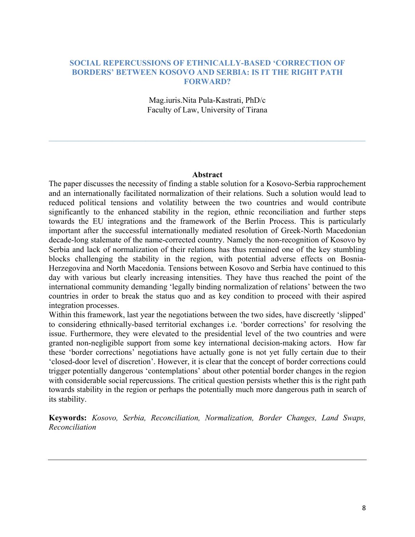# **SOCIAL REPERCUSSIONS OF ETHNICALLY-BASED 'CORRECTION OF BORDERS' BETWEEN KOSOVO AND SERBIA: IS IT THE RIGHT PATH FORWARD?**

Mag.iuris.Nita Pula-Kastrati, PhD/c Faculty of Law, University of Tirana

 $\mathcal{L}_\mathcal{L} = \{ \mathcal{L}_\mathcal{L} = \{ \mathcal{L}_\mathcal{L} = \{ \mathcal{L}_\mathcal{L} = \{ \mathcal{L}_\mathcal{L} = \{ \mathcal{L}_\mathcal{L} = \{ \mathcal{L}_\mathcal{L} = \{ \mathcal{L}_\mathcal{L} = \{ \mathcal{L}_\mathcal{L} = \{ \mathcal{L}_\mathcal{L} = \{ \mathcal{L}_\mathcal{L} = \{ \mathcal{L}_\mathcal{L} = \{ \mathcal{L}_\mathcal{L} = \{ \mathcal{L}_\mathcal{L} = \{ \mathcal{L}_\mathcal{$ 

#### **Abstract**

The paper discusses the necessity of finding a stable solution for a Kosovo-Serbia rapprochement and an internationally facilitated normalization of their relations. Such a solution would lead to reduced political tensions and volatility between the two countries and would contribute significantly to the enhanced stability in the region, ethnic reconciliation and further steps towards the EU integrations and the framework of the Berlin Process. This is particularly important after the successful internationally mediated resolution of Greek-North Macedonian decade-long stalemate of the name-corrected country. Namely the non-recognition of Kosovo by Serbia and lack of normalization of their relations has thus remained one of the key stumbling blocks challenging the stability in the region, with potential adverse effects on Bosnia-Herzegovina and North Macedonia. Tensions between Kosovo and Serbia have continued to this day with various but clearly increasing intensities. They have thus reached the point of the international community demanding 'legally binding normalization of relations' between the two countries in order to break the status quo and as key condition to proceed with their aspired integration processes.

Within this framework, last year the negotiations between the two sides, have discreetly 'slipped' to considering ethnically-based territorial exchanges i.e. 'border corrections' for resolving the issue. Furthermore, they were elevated to the presidential level of the two countries and were granted non-negligible support from some key international decision-making actors. How far these 'border corrections' negotiations have actually gone is not yet fully certain due to their 'closed-door level of discretion'. However, it is clear that the concept of border corrections could trigger potentially dangerous 'contemplations' about other potential border changes in the region with considerable social repercussions. The critical question persists whether this is the right path towards stability in the region or perhaps the potentially much more dangerous path in search of its stability.

**Keywords:** *Kosovo, Serbia, Reconciliation, Normalization, Border Changes, Land Swaps, Reconciliation*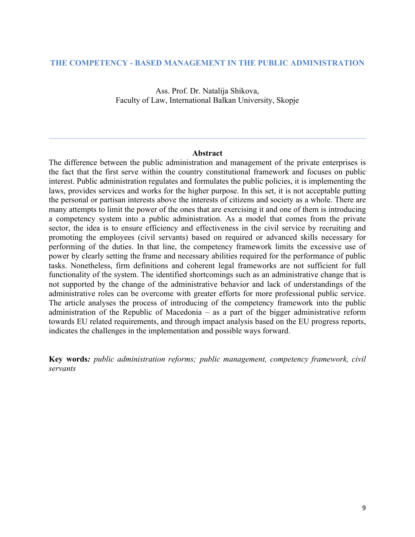## **THE COMPETENCY - BASED MANAGEMENT IN THE PUBLIC ADMINISTRATION**

Ass. Prof. Dr. Natalija Shikova, Faculty of Law, International Balkan University, Skopje

#### **Abstract**

 $\mathcal{L}_\mathcal{L} = \{ \mathcal{L}_\mathcal{L} = \{ \mathcal{L}_\mathcal{L} = \{ \mathcal{L}_\mathcal{L} = \{ \mathcal{L}_\mathcal{L} = \{ \mathcal{L}_\mathcal{L} = \{ \mathcal{L}_\mathcal{L} = \{ \mathcal{L}_\mathcal{L} = \{ \mathcal{L}_\mathcal{L} = \{ \mathcal{L}_\mathcal{L} = \{ \mathcal{L}_\mathcal{L} = \{ \mathcal{L}_\mathcal{L} = \{ \mathcal{L}_\mathcal{L} = \{ \mathcal{L}_\mathcal{L} = \{ \mathcal{L}_\mathcal{$ 

The difference between the public administration and management of the private enterprises is the fact that the first serve within the country constitutional framework and focuses on public interest. Public administration regulates and formulates the public policies, it is implementing the laws, provides services and works for the higher purpose. In this set, it is not acceptable putting the personal or partisan interests above the interests of citizens and society as a whole. There are many attempts to limit the power of the ones that are exercising it and one of them is introducing a competency system into a public administration. As a model that comes from the private sector, the idea is to ensure efficiency and effectiveness in the civil service by recruiting and promoting the employees (civil servants) based on required or advanced skills necessary for performing of the duties. In that line, the competency framework limits the excessive use of power by clearly setting the frame and necessary abilities required for the performance of public tasks. Nonetheless, firm definitions and coherent legal frameworks are not sufficient for full functionality of the system. The identified shortcomings such as an administrative change that is not supported by the change of the administrative behavior and lack of understandings of the administrative roles can be overcome with greater efforts for more professional public service. The article analyses the process of introducing of the competency framework into the public administration of the Republic of Macedonia – as a part of the bigger administrative reform towards EU related requirements, and through impact analysis based on the EU progress reports, indicates the challenges in the implementation and possible ways forward.

**Key words***: public administration reforms; public management, competency framework, civil servants*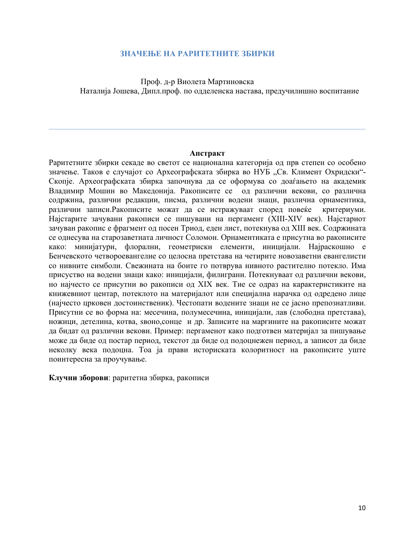## **ЗНАЧЕЊЕ НА РАРИТЕТНИТЕ ЗБИРКИ**

Проф. д-р Виолета Мартиновска Наталија Јошева, Дипл.проф. по одделенска настава, предучилишно воспитание

## **Апстракт**

Раритетните збирки секаде во светот се национална категорија од прв степен со особено значење. Таков е случајот со Археографската збирка во НУБ "Св. Климент Охридски"-Скопјe. Археографската збирка започнува да се оформува со доаѓањето на академик Владимир Мошин во Македонија. Ракописите се од различни векови, со различна содржина, различни редакции, писма, различни водени знаци, различна орнаментика, различни записи.Ракописите можат да се истражуваат според повеќе критериуми. Најстарите зачувани ракописи се пишувани на пергамент (XIII-XIV век). Најстариот зачуван ракопис е фрагмент од посен Триод, еден лист, потекнува од XIII век. Содржината се однесува на старозаветната личност Соломон. Орнаментиката е присутна во ракописите како: минијатури, флорални, геометриски елементи, иницијали. Најраскошно е Бенчевското четвороевангелие со целосна претстава на четирите новозаветни евангелисти со нивните симболи. Свежината на боите го потврува нивното растително потекло. Има присуство на водени знаци како: иницијали, филиграни. Потекнуваат од различни векови, но најчесто се присутни во ракописи од XIX век. Тие се одраз на карактеристиките на книжевниот центар, потеклото на материјалот или специјална нарачка од одредено лице (најчесто црковен достоинственик). Честопати водените знаци не се јасно препознатливи. Присутни се во форма на: месечина, полумесечина, иницијали, лав (слободна претстава), ножици, детелина, котва, ѕвоно,сонце и др. Записите на маргините на ракописите можат да бидат од различни векови. Пример: пергаменот како подготвен материјал за пишување може да биде од постар период, текстот да биде од подоцнежен период, а записот да биде неколку века подоцна. Тоа ја прави историската колоритност на ракописите уште поинтересна за проучување.

**Клучни зборови**: раритетна збирка, ракописи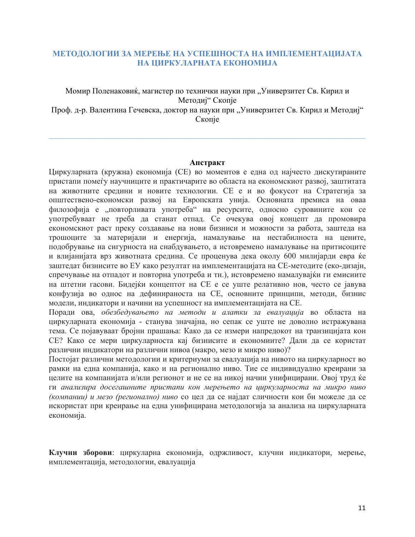# **МЕТОДОЛОГИИ ЗА МЕРЕЊЕ НА УСПЕШНОСТА НА ИМПЛЕМЕНТАЦИЈАТА НА ЦИРКУЛАРНАТА ЕКОНОМИЈА**

# Момир Поленаковиќ, магистер по технички науки при "Универзитет Св. Кирил и Методиј" Скопје Проф. д-р. Валентина Гечевска, доктор на науки при "Универзитет Св. Кирил и Методиј" Скопје

 $\mathcal{L}_\mathcal{L} = \{ \mathcal{L}_\mathcal{L} = \{ \mathcal{L}_\mathcal{L} = \{ \mathcal{L}_\mathcal{L} = \{ \mathcal{L}_\mathcal{L} = \{ \mathcal{L}_\mathcal{L} = \{ \mathcal{L}_\mathcal{L} = \{ \mathcal{L}_\mathcal{L} = \{ \mathcal{L}_\mathcal{L} = \{ \mathcal{L}_\mathcal{L} = \{ \mathcal{L}_\mathcal{L} = \{ \mathcal{L}_\mathcal{L} = \{ \mathcal{L}_\mathcal{L} = \{ \mathcal{L}_\mathcal{L} = \{ \mathcal{L}_\mathcal{$ 

#### **Апстракт**

Циркуларната (кружна) економија (СЕ) во моментов е една од најчесто дискутираните пристапи помеѓу научниците и практичарите во областа на економскиот развој, заштитата на животните средини и новите технологии. СЕ е и во фокусот на Стратегија за општествено-економски развој на Европската унија. Основната премиса на оваа филозофија е "повторливата употреба" на ресурсите, односно суровините кои се употребуваат не треба да станат отпад. Се очекува овој концепт да промовира економскиот раст преку создавање на нови бизниси и можности за работа, заштеда на трошоците за материјали и енергија, намалување на нестабилноста на цените, подобрување на сигурноста на снабдувањето, а истовремено намалување на притисоците и влијанијата врз животната средина. Се проценува дека околу 600 милијарди евра ќе заштедат бизнисите во ЕУ како резултат на имплементацијата на СЕ-методите (еко-дизајн, спречување на отпадот и повторна употреба и тн.), истовремено намалувајќи ги емисиите на штетни гасови. Бидејќи концептот на СЕ е се уште релативно нов, често се јавува конфузија во однос на дефинираноста на СЕ, основните принципи, методи, бизнис модели, индикатори и начини на успешност на имплементацијата на СЕ.

Поради ова, *обезбедувањето на методи и алатки за евалуација* во областа на циркуларната економија - станува значајна, но сепак се уште не доволно истражувана тема. Се појавуваат бројни прашања: Како да се измери напредокот на транзицијата кон СЕ? Како се мери циркуларноста кај бизнисите и економиите? Дали да се користат различни индикатори на различни нивоа (макро, мезо и микро ниво)?

Постојат различни методологии и критериуми за евалуација на нивото на циркуларност во рамки на една компанија, како и на регионално ниво. Тие се индивидуално креирани за целите на компанијата и/или регионот и не се на никој начин унифицирани. Овој труд ќе ги *анализира досегашните пристапи кон мерењето на циркуларноста на микро ниво (компании) и мезо (регионално) ниво* со цел да се најдат сличности кои би можеле да се искористат при креирање на една унифицирана методологија за анализа на циркуларната економија.

**Клучни зборови**: циркуларна економија, одржливост, клучни индикатори, мерење, имплементација, методологии, евалуација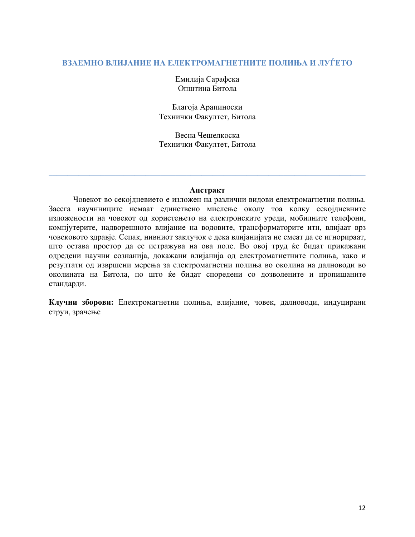# **ВЗАЕМНО ВЛИЈАНИЕ НА ЕЛЕКТРОМАГНЕТНИТЕ ПОЛИЊА И ЛУЃЕТО**

Емилија Сарафска Општина Битола

Благоја Арапиноски Технички Факултет, Битола

Весна Чешелкоска Технички Факултет, Битола

## **Апстракт**

 $\mathcal{L}_\mathcal{L} = \{ \mathcal{L}_\mathcal{L} = \{ \mathcal{L}_\mathcal{L} = \{ \mathcal{L}_\mathcal{L} = \{ \mathcal{L}_\mathcal{L} = \{ \mathcal{L}_\mathcal{L} = \{ \mathcal{L}_\mathcal{L} = \{ \mathcal{L}_\mathcal{L} = \{ \mathcal{L}_\mathcal{L} = \{ \mathcal{L}_\mathcal{L} = \{ \mathcal{L}_\mathcal{L} = \{ \mathcal{L}_\mathcal{L} = \{ \mathcal{L}_\mathcal{L} = \{ \mathcal{L}_\mathcal{L} = \{ \mathcal{L}_\mathcal{$ 

Човекот во секојдневието е изложен на различни видови електромагнетни полиња. Засега научнниците немаат единствено мислење околу тоа колку секојдневните изложености на човекот од користењето на електронските уреди, мобилните телефони, компјутерите, надворешното влијание на водовите, трансформаторите итн, влијаат врз човековото здравје. Сепак, нивниот заклучок е дека влијанијата не смеат да се игнорираат, што остава простор да се истражува на ова поле. Во овој труд ќе бидат прикажани одредени научни сознанија, докажани влијанија од електромагнетните полиња, како и резултати од извршени мерења за електромагнетни полиња во околина на далноводи во околината на Битола, по што ќе бидат споредени со дозволените и пропишаните стандарди.

**Клучни зборови:** Електромагнетни полиња, влијание, човек, далноводи, индуцирани струи, зрачење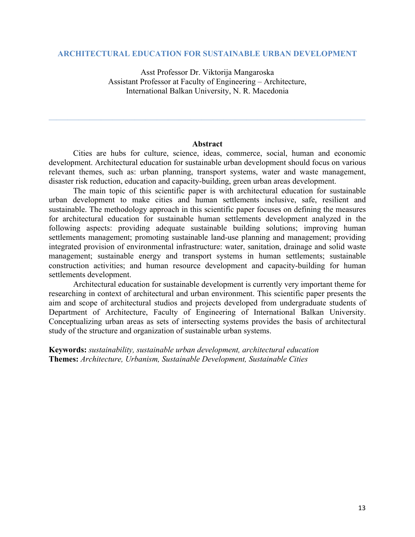## **ARCHITECTURAL EDUCATION FOR SUSTAINABLE URBAN DEVELOPMENT**

Asst Professor Dr. Viktorija Mangaroska Assistant Professor at Faculty of Engineering – Architecture, International Balkan University, N. R. Macedonia

#### **Abstract**

 $\mathcal{L}_\mathcal{L} = \{ \mathcal{L}_\mathcal{L} = \{ \mathcal{L}_\mathcal{L} = \{ \mathcal{L}_\mathcal{L} = \{ \mathcal{L}_\mathcal{L} = \{ \mathcal{L}_\mathcal{L} = \{ \mathcal{L}_\mathcal{L} = \{ \mathcal{L}_\mathcal{L} = \{ \mathcal{L}_\mathcal{L} = \{ \mathcal{L}_\mathcal{L} = \{ \mathcal{L}_\mathcal{L} = \{ \mathcal{L}_\mathcal{L} = \{ \mathcal{L}_\mathcal{L} = \{ \mathcal{L}_\mathcal{L} = \{ \mathcal{L}_\mathcal{$ 

Cities are hubs for culture, science, ideas, commerce, social, human and economic development. Architectural education for sustainable urban development should focus on various relevant themes, such as: urban planning, transport systems, water and waste management, disaster risk reduction, education and capacity-building, green urban areas development.

The main topic of this scientific paper is with architectural education for sustainable urban development to make cities and human settlements inclusive, safe, resilient and sustainable. The methodology approach in this scientific paper focuses on defining the measures for architectural education for sustainable human settlements development analyzed in the following aspects: providing adequate sustainable building solutions; improving human settlements management; promoting sustainable land-use planning and management; providing integrated provision of environmental infrastructure: water, sanitation, drainage and solid waste management; sustainable energy and transport systems in human settlements; sustainable construction activities; and human resource development and capacity-building for human settlements development.

Architectural education for sustainable development is currently very important theme for researching in context of architectural and urban environment. This scientific paper presents the aim and scope of architectural studios and projects developed from undergraduate students of Department of Architecture, Faculty of Engineering of International Balkan University. Conceptualizing urban areas as sets of intersecting systems provides the basis of architectural study of the structure and organization of sustainable urban systems.

**Keywords:** *sustainability, sustainable urban development, architectural education* **Themes:** *Architecture, Urbanism, Sustainable Development, Sustainable Cities*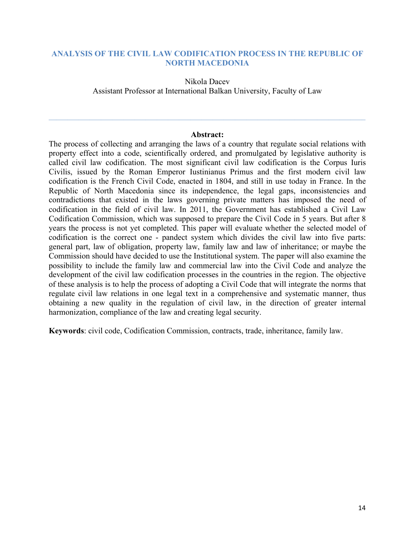# **ANALYSIS OF THE CIVIL LAW CODIFICATION PROCESS IN THE REPUBLIC OF NORTH MACEDONIA**

Nikola Dacev Assistant Professor at International Balkan University, Faculty of Law

## **Abstract:**

 $\mathcal{L}_\mathcal{L} = \{ \mathcal{L}_\mathcal{L} = \{ \mathcal{L}_\mathcal{L} = \{ \mathcal{L}_\mathcal{L} = \{ \mathcal{L}_\mathcal{L} = \{ \mathcal{L}_\mathcal{L} = \{ \mathcal{L}_\mathcal{L} = \{ \mathcal{L}_\mathcal{L} = \{ \mathcal{L}_\mathcal{L} = \{ \mathcal{L}_\mathcal{L} = \{ \mathcal{L}_\mathcal{L} = \{ \mathcal{L}_\mathcal{L} = \{ \mathcal{L}_\mathcal{L} = \{ \mathcal{L}_\mathcal{L} = \{ \mathcal{L}_\mathcal{$ 

The process of collecting and arranging the laws of a country that regulate social relations with property effect into a code, scientifically ordered, and promulgated by legislative authority is called civil law codification. The most significant civil law codification is the Corpus Iuris Civilis, issued by the Roman Emperor Iustinianus Primus and the first modern civil law codification is the French Civil Code, enacted in 1804, and still in use today in France. In the Republic of North Macedonia since its independence, the legal gaps, inconsistencies and contradictions that existed in the laws governing private matters has imposed the need of codification in the field of civil law. In 2011, the Government has established a Civil Law Codification Commission, which was supposed to prepare the Civil Code in 5 years. But after 8 years the process is not yet completed. This paper will evaluate whether the selected model of codification is the correct one - pandect system which divides the civil law into five parts: general part, law of obligation, property law, family law and law of inheritance; or maybe the Commission should have decided to use the Institutional system. The paper will also examine the possibility to include the family law and commercial law into the Civil Code and analyze the development of the civil law codification processes in the countries in the region. The objective of these analysis is to help the process of adopting a Civil Code that will integrate the norms that regulate civil law relations in one legal text in a comprehensive and systematic manner, thus obtaining a new quality in the regulation of civil law, in the direction of greater internal harmonization, compliance of the law and creating legal security.

**Keywords**: civil code, Codification Commission, contracts, trade, inheritance, family law.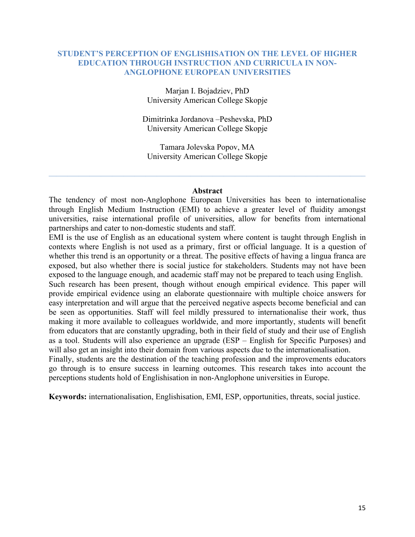# **STUDENT'S PERCEPTION OF ENGLISHISATION ON THE LEVEL OF HIGHER EDUCATION THROUGH INSTRUCTION AND CURRICULA IN NON-ANGLOPHONE EUROPEAN UNIVERSITIES**

Marjan I. Bojadziev, PhD University American College Skopje

Dimitrinka Jordanova –Peshevska, PhD University American College Skopje

Tamara Jolevska Popov, MA University American College Skopje

## **Abstract**

The tendency of most non-Anglophone European Universities has been to internationalise through English Medium Instruction (EMI) to achieve a greater level of fluidity amongst universities, raise international profile of universities, allow for benefits from international partnerships and cater to non-domestic students and staff.

EMI is the use of English as an educational system where content is taught through English in contexts where English is not used as a primary, first or official language. It is a question of whether this trend is an opportunity or a threat. The positive effects of having a lingua franca are exposed, but also whether there is social justice for stakeholders. Students may not have been exposed to the language enough, and academic staff may not be prepared to teach using English. Such research has been present, though without enough empirical evidence. This paper will provide empirical evidence using an elaborate questionnaire with multiple choice answers for

easy interpretation and will argue that the perceived negative aspects become beneficial and can be seen as opportunities. Staff will feel mildly pressured to internationalise their work, thus making it more available to colleagues worldwide, and more importantly, students will benefit from educators that are constantly upgrading, both in their field of study and their use of English as a tool. Students will also experience an upgrade (ESP – English for Specific Purposes) and will also get an insight into their domain from various aspects due to the internationalisation.

Finally, students are the destination of the teaching profession and the improvements educators go through is to ensure success in learning outcomes. This research takes into account the perceptions students hold of Englishisation in non-Anglophone universities in Europe.

**Keywords:** internationalisation, Englishisation, EMI, ESP, opportunities, threats, social justice.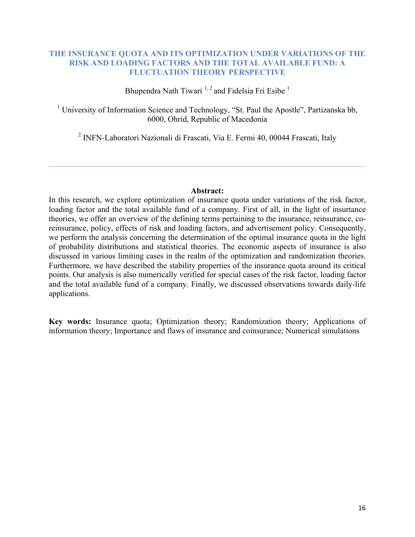# **THE INSURANCE QUOTA AND ITS OPTIMIZATION UNDER VARIATIONS OF THE RISK AND LOADING FACTORS AND THE TOTAL AVAILABLE FUND: A FLUCTUATION THEORY PERSPECTIVE**

Bhupendra Nath Tiwari<sup>1, 2</sup> and Fidelsia Fri Esibe<sup>1</sup>

<sup>1</sup> University of Information Science and Technology, "St. Paul the Apostle", Partizanska bb, 6000, Ohrid, Republic of Macedonia

<sup>2</sup> INFN-Laboratori Nazionali di Frascati, Via E. Fermi 40, 00044 Frascati, Italy

 $\mathcal{L}_\mathcal{L} = \mathcal{L}_\mathcal{L} = \mathcal{L}_\mathcal{L} = \mathcal{L}_\mathcal{L} = \mathcal{L}_\mathcal{L} = \mathcal{L}_\mathcal{L} = \mathcal{L}_\mathcal{L} = \mathcal{L}_\mathcal{L} = \mathcal{L}_\mathcal{L} = \mathcal{L}_\mathcal{L} = \mathcal{L}_\mathcal{L} = \mathcal{L}_\mathcal{L} = \mathcal{L}_\mathcal{L} = \mathcal{L}_\mathcal{L} = \mathcal{L}_\mathcal{L} = \mathcal{L}_\mathcal{L} = \mathcal{L}_\mathcal{L}$ 

## **Abstract:**

In this research, we explore optimization of insurance quota under variations of the risk factor, loading factor and the total available fund of a company. First of all, in the light of insurtance theories, we offer an overview of the defining terms pertaining to the insurance, reinsurance, coreinsurance, policy, effects of risk and loading factors, and advertisement policy. Consequently, we perform the analysis concerning the determination of the optimal insurance quota in the light of probability distributions and statistical theories. The economic aspects of insurance is also discussed in various limiting cases in the realm of the optimization and randomization theories. Furthermore, we have described the stability properties of the insurance quota around its critical points. Our analysis is also numerically verified for special cases of the risk factor, loading factor and the total available fund of a company. Finally, we discussed observations towards daily-life applications.

**Key words:** Insurance quota; Optimization theory; Randomization theory; Applications of information theory; Importance and flaws of insurance and coinsurance; Numerical simulations